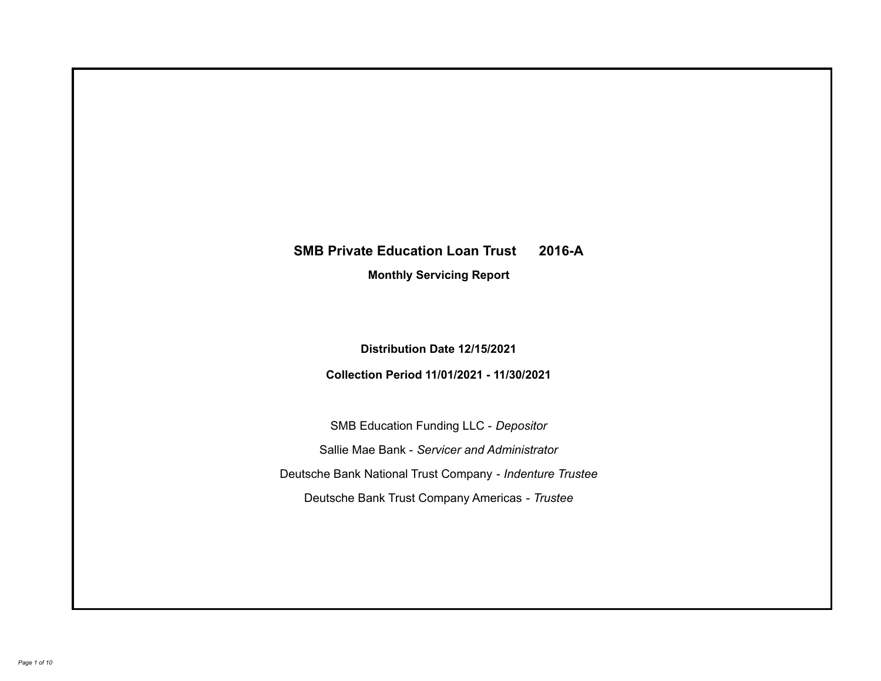# **SMB Private Education Loan Trust 2016-A**

**Monthly Servicing Report**

**Distribution Date 12/15/2021**

**Collection Period 11/01/2021 - 11/30/2021**

SMB Education Funding LLC - *Depositor* Sallie Mae Bank - *Servicer and Administrator* Deutsche Bank National Trust Company - *Indenture Trustee* Deutsche Bank Trust Company Americas - *Trustee*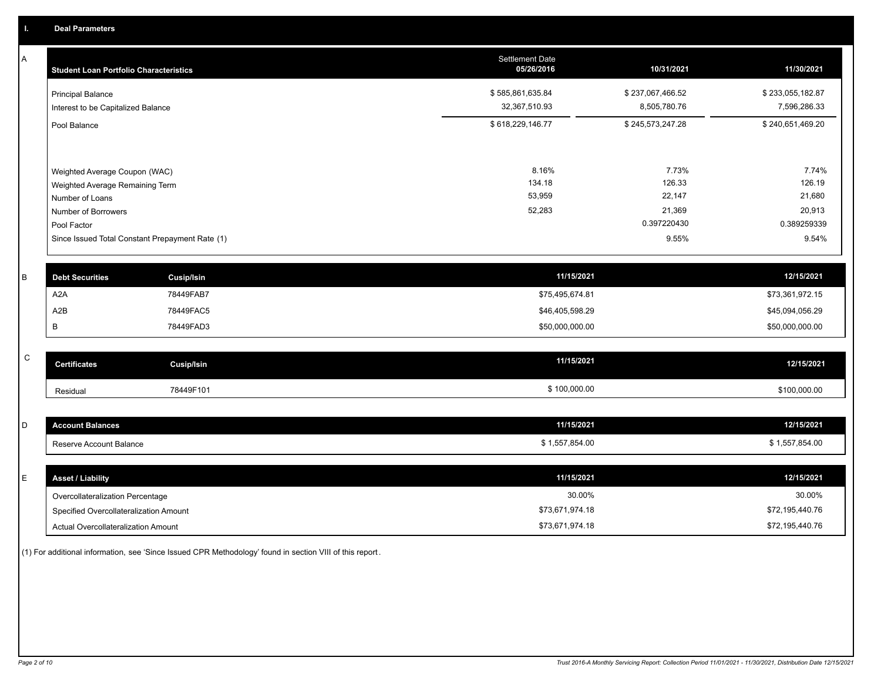A

| A           | <b>Student Loan Portfolio Characteristics</b>      |                                                 | Settlement Date<br>05/26/2016 | 10/31/2021       | 11/30/2021       |
|-------------|----------------------------------------------------|-------------------------------------------------|-------------------------------|------------------|------------------|
|             | <b>Principal Balance</b>                           |                                                 | \$585,861,635.84              | \$237,067,466.52 | \$233,055,182.87 |
|             | Interest to be Capitalized Balance                 |                                                 | 32,367,510.93                 | 8,505,780.76     | 7,596,286.33     |
|             | Pool Balance                                       |                                                 | \$618,229,146.77              | \$245,573,247.28 | \$240,651,469.20 |
|             |                                                    |                                                 | 8.16%                         | 7.73%            | 7.74%            |
|             | Weighted Average Coupon (WAC)                      |                                                 | 134.18                        | 126.33           | 126.19           |
|             | Weighted Average Remaining Term<br>Number of Loans |                                                 | 53,959                        | 22,147           | 21,680           |
|             | Number of Borrowers                                |                                                 | 52,283                        | 21,369           | 20,913           |
|             | Pool Factor                                        |                                                 |                               | 0.397220430      | 0.389259339      |
|             |                                                    | Since Issued Total Constant Prepayment Rate (1) |                               | 9.55%            | 9.54%            |
| B           | <b>Debt Securities</b>                             | <b>Cusip/Isin</b>                               | 11/15/2021                    |                  | 12/15/2021       |
|             | A <sub>2</sub> A                                   | 78449FAB7                                       | \$75,495,674.81               |                  | \$73,361,972.15  |
|             | A <sub>2</sub> B                                   | 78449FAC5                                       | \$46,405,598.29               |                  | \$45,094,056.29  |
|             | B                                                  | 78449FAD3                                       | \$50,000,000.00               |                  | \$50,000,000.00  |
|             |                                                    |                                                 |                               |                  |                  |
| $\mathsf C$ | <b>Certificates</b>                                | <b>Cusip/Isin</b>                               | 11/15/2021                    |                  | 12/15/2021       |
|             | Residual                                           | 78449F101                                       | \$100,000.00                  |                  | \$100,000.00     |
|             |                                                    |                                                 |                               |                  |                  |
| D           | <b>Account Balances</b>                            |                                                 | 11/15/2021                    |                  | 12/15/2021       |
|             | Reserve Account Balance                            |                                                 | \$1,557,854.00                |                  | \$1,557,854.00   |

| <b>Asset / Liability</b>               | 11/15/2021      | 12/15/2021      |
|----------------------------------------|-----------------|-----------------|
| Overcollateralization Percentage       | 30.00%          | 30.00%          |
| Specified Overcollateralization Amount | \$73,671,974.18 | \$72,195,440.76 |
| Actual Overcollateralization Amount    | \$73,671,974.18 | \$72,195,440.76 |

(1) For additional information, see 'Since Issued CPR Methodology' found in section VIII of this report .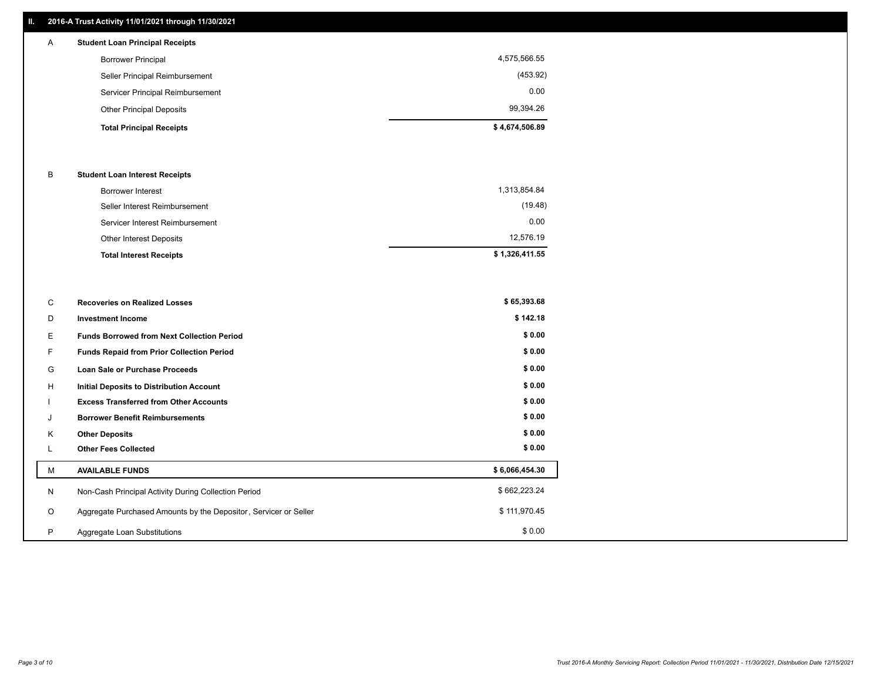# **II. 2016-A Trust Activity 11/01/2021 through 11/30/2021**

# **Total Principal Receipts \$ 4,674,506.89**  Other Principal Deposits 99,394.26 Servicer Principal Reimbursement 0.00 Seller Principal Reimbursement (453.92) Borrower Principal 4,575,566.55 A **Student Loan Principal Receipts**

## B **Student Loan Interest Receipts**

| Borrower Interest               | 1,313,854.84   |
|---------------------------------|----------------|
| Seller Interest Reimbursement   | (19.48)        |
| Servicer Interest Reimbursement | 0.00           |
| Other Interest Deposits         | 12,576.19      |
| <b>Total Interest Receipts</b>  | \$1,326,411.55 |

| C       | <b>Recoveries on Realized Losses</b>                             | \$65,393.68    |
|---------|------------------------------------------------------------------|----------------|
| D       | <b>Investment Income</b>                                         | \$142.18       |
| Е.      | <b>Funds Borrowed from Next Collection Period</b>                | \$0.00         |
| F.      | Funds Repaid from Prior Collection Period                        | \$0.00         |
| G       | Loan Sale or Purchase Proceeds                                   | \$0.00         |
| H       | Initial Deposits to Distribution Account                         | \$0.00         |
|         | <b>Excess Transferred from Other Accounts</b>                    | \$0.00         |
| J       | <b>Borrower Benefit Reimbursements</b>                           | \$0.00         |
| K       | <b>Other Deposits</b>                                            | \$0.00         |
|         | <b>Other Fees Collected</b>                                      | \$0.00         |
| M       | <b>AVAILABLE FUNDS</b>                                           | \$6,066,454.30 |
| N       | Non-Cash Principal Activity During Collection Period             | \$662,223.24   |
| $\circ$ | Aggregate Purchased Amounts by the Depositor, Servicer or Seller | \$111,970.45   |
| P       | Aggregate Loan Substitutions                                     | \$0.00         |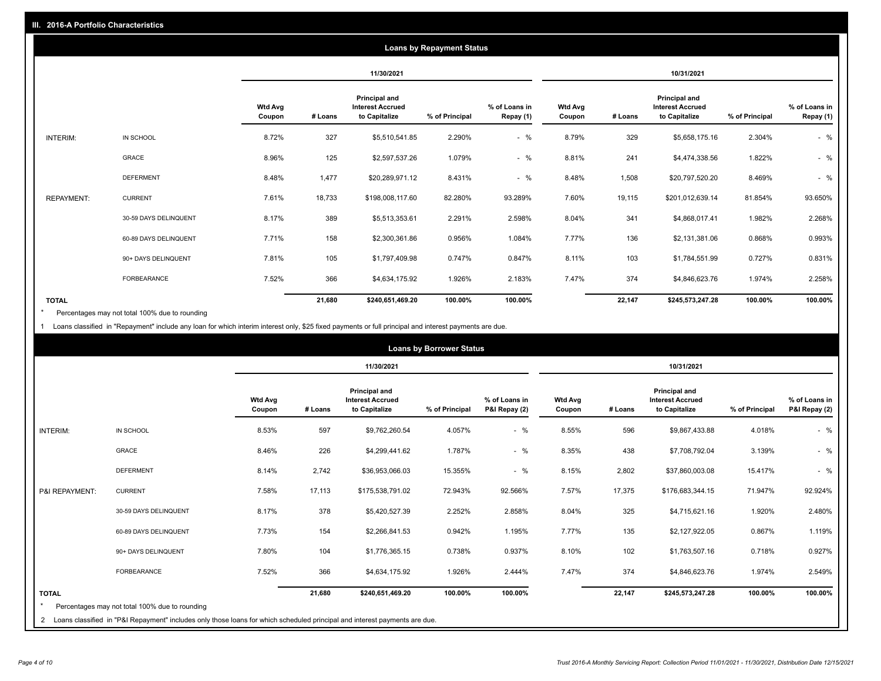| <b>Loans by Repayment Status</b> |                       |                          |            |                                                           |                |                            |                          |         |                                                           |                |                            |
|----------------------------------|-----------------------|--------------------------|------------|-----------------------------------------------------------|----------------|----------------------------|--------------------------|---------|-----------------------------------------------------------|----------------|----------------------------|
|                                  |                       |                          | 11/30/2021 |                                                           |                | 10/31/2021                 |                          |         |                                                           |                |                            |
|                                  |                       | <b>Wtd Avg</b><br>Coupon | # Loans    | Principal and<br><b>Interest Accrued</b><br>to Capitalize | % of Principal | % of Loans in<br>Repay (1) | <b>Wtd Avg</b><br>Coupon | # Loans | Principal and<br><b>Interest Accrued</b><br>to Capitalize | % of Principal | % of Loans in<br>Repay (1) |
| INTERIM:                         | IN SCHOOL             | 8.72%                    | 327        | \$5,510,541.85                                            | 2.290%         | $-$ %                      | 8.79%                    | 329     | \$5,658,175.16                                            | 2.304%         | $-$ %                      |
|                                  | <b>GRACE</b>          | 8.96%                    | 125        | \$2,597,537.26                                            | 1.079%         | $-$ %                      | 8.81%                    | 241     | \$4,474,338.56                                            | 1.822%         | $-$ %                      |
|                                  | <b>DEFERMENT</b>      | 8.48%                    | 1,477      | \$20,289,971.12                                           | 8.431%         | $-$ %                      | 8.48%                    | 1,508   | \$20,797,520.20                                           | 8.469%         | $-$ %                      |
| <b>REPAYMENT:</b>                | <b>CURRENT</b>        | 7.61%                    | 18,733     | \$198,008,117.60                                          | 82.280%        | 93.289%                    | 7.60%                    | 19,115  | \$201,012,639.14                                          | 81.854%        | 93.650%                    |
|                                  | 30-59 DAYS DELINQUENT | 8.17%                    | 389        | \$5,513,353.61                                            | 2.291%         | 2.598%                     | 8.04%                    | 341     | \$4,868,017.41                                            | 1.982%         | 2.268%                     |
|                                  | 60-89 DAYS DELINQUENT | 7.71%                    | 158        | \$2,300,361.86                                            | 0.956%         | 1.084%                     | 7.77%                    | 136     | \$2,131,381.06                                            | 0.868%         | 0.993%                     |
|                                  | 90+ DAYS DELINQUENT   | 7.81%                    | 105        | \$1,797,409.98                                            | 0.747%         | 0.847%                     | 8.11%                    | 103     | \$1,784,551.99                                            | 0.727%         | 0.831%                     |
|                                  | <b>FORBEARANCE</b>    | 7.52%                    | 366        | \$4,634,175.92                                            | 1.926%         | 2.183%                     | 7.47%                    | 374     | \$4,846,623.76                                            | 1.974%         | 2.258%                     |
| <b>TOTAL</b>                     |                       |                          | 21,680     | \$240,651,469.20                                          | 100.00%        | 100.00%                    |                          | 22,147  | \$245,573,247.28                                          | 100.00%        | 100.00%                    |

Percentages may not total 100% due to rounding \*

1 Loans classified in "Repayment" include any loan for which interim interest only, \$25 fixed payments or full principal and interest payments are due.

|                |                                                                                                                              | <b>Loans by Borrower Status</b> |         |                                                                  |                |                                |                          |         |                                                           |                |                                |
|----------------|------------------------------------------------------------------------------------------------------------------------------|---------------------------------|---------|------------------------------------------------------------------|----------------|--------------------------------|--------------------------|---------|-----------------------------------------------------------|----------------|--------------------------------|
|                |                                                                                                                              |                                 |         | 11/30/2021                                                       |                |                                | 10/31/2021               |         |                                                           |                |                                |
|                |                                                                                                                              | <b>Wtd Avg</b><br>Coupon        | # Loans | <b>Principal and</b><br><b>Interest Accrued</b><br>to Capitalize | % of Principal | % of Loans in<br>P&I Repay (2) | <b>Wtd Avg</b><br>Coupon | # Loans | Principal and<br><b>Interest Accrued</b><br>to Capitalize | % of Principal | % of Loans in<br>P&I Repay (2) |
| INTERIM:       | IN SCHOOL                                                                                                                    | 8.53%                           | 597     | \$9,762,260.54                                                   | 4.057%         | $-$ %                          | 8.55%                    | 596     | \$9,867,433.88                                            | 4.018%         | $-$ %                          |
|                | GRACE                                                                                                                        | 8.46%                           | 226     | \$4,299,441.62                                                   | 1.787%         | $-$ %                          | 8.35%                    | 438     | \$7,708,792.04                                            | 3.139%         | $-$ %                          |
|                | <b>DEFERMENT</b>                                                                                                             | 8.14%                           | 2,742   | \$36,953,066.03                                                  | 15.355%        | $-$ %                          | 8.15%                    | 2,802   | \$37,860,003.08                                           | 15.417%        | $-$ %                          |
| P&I REPAYMENT: | <b>CURRENT</b>                                                                                                               | 7.58%                           | 17,113  | \$175,538,791.02                                                 | 72.943%        | 92.566%                        | 7.57%                    | 17,375  | \$176,683,344.15                                          | 71.947%        | 92.924%                        |
|                | 30-59 DAYS DELINQUENT                                                                                                        | 8.17%                           | 378     | \$5,420,527.39                                                   | 2.252%         | 2.858%                         | 8.04%                    | 325     | \$4,715,621.16                                            | 1.920%         | 2.480%                         |
|                | 60-89 DAYS DELINQUENT                                                                                                        | 7.73%                           | 154     | \$2,266,841.53                                                   | 0.942%         | 1.195%                         | 7.77%                    | 135     | \$2,127,922.05                                            | 0.867%         | 1.119%                         |
|                | 90+ DAYS DELINQUENT                                                                                                          | 7.80%                           | 104     | \$1,776,365.15                                                   | 0.738%         | 0.937%                         | 8.10%                    | 102     | \$1,763,507.16                                            | 0.718%         | 0.927%                         |
|                | <b>FORBEARANCE</b>                                                                                                           | 7.52%                           | 366     | \$4,634,175.92                                                   | 1.926%         | 2.444%                         | 7.47%                    | 374     | \$4,846,623.76                                            | 1.974%         | 2.549%                         |
| <b>TOTAL</b>   |                                                                                                                              |                                 | 21,680  | \$240,651,469.20                                                 | 100.00%        | 100.00%                        |                          | 22,147  | \$245,573,247.28                                          | 100.00%        | 100.00%                        |
|                | Percentages may not total 100% due to rounding                                                                               |                                 |         |                                                                  |                |                                |                          |         |                                                           |                |                                |
|                | 2 Loans classified in "P&I Repayment" includes only those loans for which scheduled principal and interest payments are due. |                                 |         |                                                                  |                |                                |                          |         |                                                           |                |                                |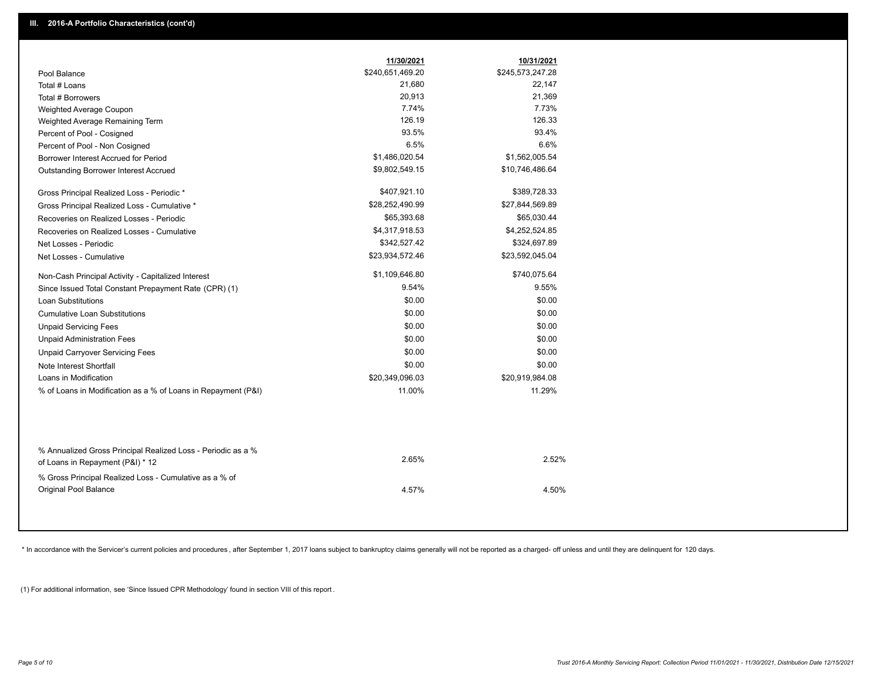|                                                                                                  | 11/30/2021       | 10/31/2021       |
|--------------------------------------------------------------------------------------------------|------------------|------------------|
| Pool Balance                                                                                     | \$240,651,469.20 | \$245,573,247.28 |
| Total # Loans                                                                                    | 21,680           | 22,147           |
| Total # Borrowers                                                                                | 20,913           | 21,369           |
| Weighted Average Coupon                                                                          | 7.74%            | 7.73%            |
| Weighted Average Remaining Term                                                                  | 126.19           | 126.33           |
| Percent of Pool - Cosigned                                                                       | 93.5%            | 93.4%            |
| Percent of Pool - Non Cosigned                                                                   | 6.5%             | 6.6%             |
| Borrower Interest Accrued for Period                                                             | \$1,486,020.54   | \$1,562,005.54   |
| <b>Outstanding Borrower Interest Accrued</b>                                                     | \$9,802,549.15   | \$10,746,486.64  |
| Gross Principal Realized Loss - Periodic *                                                       | \$407,921.10     | \$389,728.33     |
| Gross Principal Realized Loss - Cumulative *                                                     | \$28,252,490.99  | \$27,844,569.89  |
| Recoveries on Realized Losses - Periodic                                                         | \$65,393.68      | \$65,030.44      |
| Recoveries on Realized Losses - Cumulative                                                       | \$4,317,918.53   | \$4,252,524.85   |
| Net Losses - Periodic                                                                            | \$342,527.42     | \$324,697.89     |
| Net Losses - Cumulative                                                                          | \$23,934,572.46  | \$23,592,045.04  |
| Non-Cash Principal Activity - Capitalized Interest                                               | \$1,109,646.80   | \$740,075.64     |
| Since Issued Total Constant Prepayment Rate (CPR) (1)                                            | 9.54%            | 9.55%            |
| <b>Loan Substitutions</b>                                                                        | \$0.00           | \$0.00           |
| <b>Cumulative Loan Substitutions</b>                                                             | \$0.00           | \$0.00           |
| <b>Unpaid Servicing Fees</b>                                                                     | \$0.00           | \$0.00           |
| <b>Unpaid Administration Fees</b>                                                                | \$0.00           | \$0.00           |
| <b>Unpaid Carryover Servicing Fees</b>                                                           | \$0.00           | \$0.00           |
| Note Interest Shortfall                                                                          | \$0.00           | \$0.00           |
| Loans in Modification                                                                            | \$20,349,096.03  | \$20,919,984.08  |
| % of Loans in Modification as a % of Loans in Repayment (P&I)                                    | 11.00%           | 11.29%           |
|                                                                                                  |                  |                  |
| % Annualized Gross Principal Realized Loss - Periodic as a %<br>of Loans in Repayment (P&I) * 12 | 2.65%            | 2.52%            |
| % Gross Principal Realized Loss - Cumulative as a % of                                           |                  |                  |
| Original Pool Balance                                                                            | 4.57%            | 4.50%            |
|                                                                                                  |                  |                  |

\* In accordance with the Servicer's current policies and procedures, after September 1, 2017 loans subject to bankruptcy claims generally will not be reported as a charged- off unless and until they are delinquent for 120

(1) For additional information, see 'Since Issued CPR Methodology' found in section VIII of this report .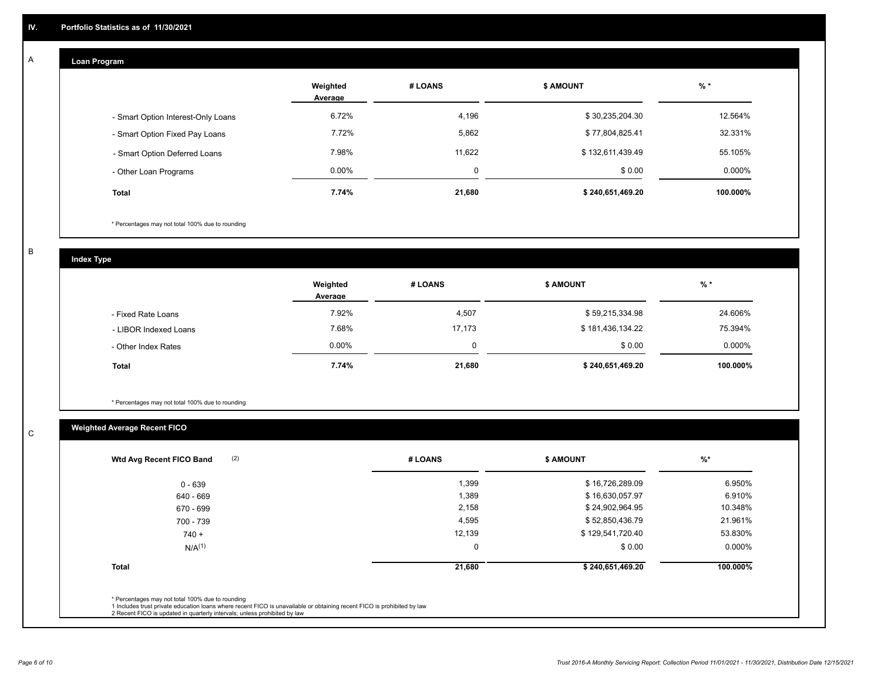#### **Loan Program**  A

|                                    | Weighted<br>Average | # LOANS  | <b>\$ AMOUNT</b> | $%$ *    |
|------------------------------------|---------------------|----------|------------------|----------|
| - Smart Option Interest-Only Loans | 6.72%               | 4,196    | \$30,235,204.30  | 12.564%  |
| - Smart Option Fixed Pay Loans     | 7.72%               | 5,862    | \$77,804,825.41  | 32.331%  |
| - Smart Option Deferred Loans      | 7.98%               | 11.622   | \$132,611,439.49 | 55.105%  |
| - Other Loan Programs              | $0.00\%$            | $\Omega$ | \$0.00           | 0.000%   |
| <b>Total</b>                       | 7.74%               | 21,680   | \$240,651,469.20 | 100.000% |

\* Percentages may not total 100% due to rounding

B

C

**Index Type**

|                       | Weighted<br>Average | # LOANS | <b>\$ AMOUNT</b> | $%$ *     |
|-----------------------|---------------------|---------|------------------|-----------|
| - Fixed Rate Loans    | 7.92%               | 4,507   | \$59,215,334.98  | 24.606%   |
| - LIBOR Indexed Loans | 7.68%               | 17,173  | \$181,436,134.22 | 75.394%   |
| - Other Index Rates   | $0.00\%$            | 0       | \$0.00           | $0.000\%$ |
| <b>Total</b>          | 7.74%               | 21,680  | \$240,651,469.20 | 100.000%  |

\* Percentages may not total 100% due to rounding

# **Weighted Average Recent FICO**

| 0 - 639<br>640 - 669<br>670 - 699 | 1,399<br>1,389 | \$16,726,289.09<br>\$16,630,057.97 | 6.950%   |
|-----------------------------------|----------------|------------------------------------|----------|
|                                   |                |                                    |          |
|                                   |                |                                    | 6.910%   |
|                                   | 2,158          | \$24,902,964.95                    | 10.348%  |
| 700 - 739                         | 4,595          | \$52,850,436.79                    | 21.961%  |
| $740 +$                           | 12,139         | \$129,541,720.40                   | 53.830%  |
| $N/A^{(1)}$                       | $\mathbf 0$    | \$0.00                             | 0.000%   |
| <b>Total</b>                      | 21,680         | \$240,651,469.20                   | 100.000% |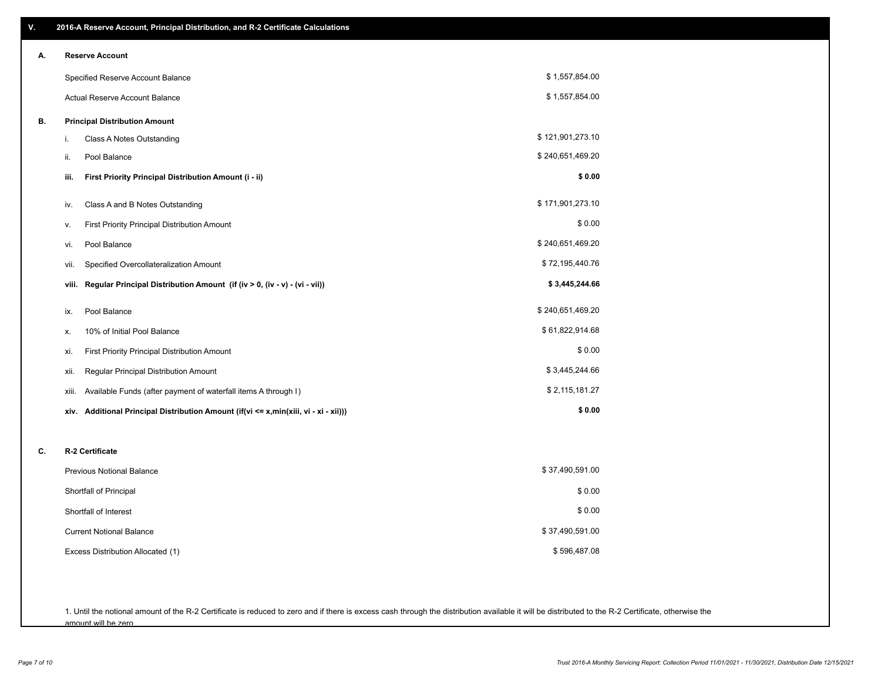| V. | 2016-A Reserve Account, Principal Distribution, and R-2 Certificate Calculations     |                  |
|----|--------------------------------------------------------------------------------------|------------------|
| А. | <b>Reserve Account</b>                                                               |                  |
|    | Specified Reserve Account Balance                                                    | \$1,557,854.00   |
|    | Actual Reserve Account Balance                                                       | \$1,557,854.00   |
| В. | <b>Principal Distribution Amount</b>                                                 |                  |
|    | Class A Notes Outstanding<br>i.                                                      | \$121,901,273.10 |
|    | ii.<br>Pool Balance                                                                  | \$240,651,469.20 |
|    | First Priority Principal Distribution Amount (i - ii)<br>iii.                        | \$0.00           |
|    | Class A and B Notes Outstanding<br>iv.                                               | \$171,901,273.10 |
|    | First Priority Principal Distribution Amount<br>٧.                                   | \$0.00           |
|    | Pool Balance<br>vi.                                                                  | \$240,651,469.20 |
|    | Specified Overcollateralization Amount<br>vii.                                       | \$72,195,440.76  |
|    | Regular Principal Distribution Amount (if (iv > 0, (iv - v) - (vi - vii))<br>viii.   | \$3,445,244.66   |
|    | Pool Balance<br>ix.                                                                  | \$240,651,469.20 |
|    | 10% of Initial Pool Balance<br>х.                                                    | \$61,822,914.68  |
|    | First Priority Principal Distribution Amount<br>xi.                                  | \$0.00           |
|    | Regular Principal Distribution Amount<br>xii.                                        | \$3,445,244.66   |
|    | Available Funds (after payment of waterfall items A through I)<br>xiii.              | \$2,115,181.27   |
|    | xiv. Additional Principal Distribution Amount (if(vi <= x,min(xiii, vi - xi - xii))) | \$0.00           |
| C. | R-2 Certificate                                                                      |                  |
|    | <b>Previous Notional Balance</b>                                                     | \$37,490,591.00  |
|    | Shortfall of Principal                                                               | \$0.00           |
|    | Shortfall of Interest                                                                | \$0.00           |
|    | <b>Current Notional Balance</b>                                                      | \$37,490,591.00  |
|    | Excess Distribution Allocated (1)                                                    | \$596,487.08     |
|    |                                                                                      |                  |
|    |                                                                                      |                  |

1. Until the notional amount of the R-2 Certificate is reduced to zero and if there is excess cash through the distribution available it will be distributed to the R-2 Certificate, otherwise the amount will be zero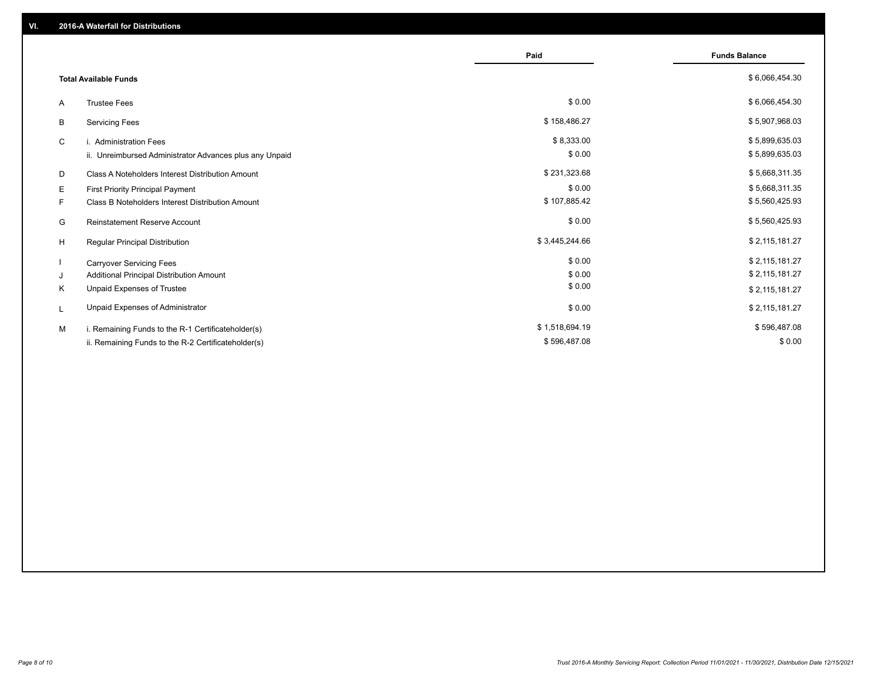|                                                         | Paid           | <b>Funds Balance</b> |
|---------------------------------------------------------|----------------|----------------------|
| <b>Total Available Funds</b>                            |                | \$6,066,454.30       |
| <b>Trustee Fees</b><br>A                                | \$0.00         | \$6,066,454.30       |
| <b>Servicing Fees</b><br>В                              | \$158,486.27   | \$5,907,968.03       |
| C<br>i. Administration Fees                             | \$8,333.00     | \$5,899,635.03       |
| ii. Unreimbursed Administrator Advances plus any Unpaid | \$0.00         | \$5,899,635.03       |
| Class A Noteholders Interest Distribution Amount<br>D   | \$231,323.68   | \$5,668,311.35       |
| Е<br>First Priority Principal Payment                   | \$0.00         | \$5,668,311.35       |
| Class B Noteholders Interest Distribution Amount<br>F.  | \$107,885.42   | \$5,560,425.93       |
| <b>Reinstatement Reserve Account</b><br>G               | \$0.00         | \$5,560,425.93       |
| H<br>Regular Principal Distribution                     | \$3,445,244.66 | \$2,115,181.27       |
| <b>Carryover Servicing Fees</b>                         | \$0.00         | \$2,115,181.27       |
| Additional Principal Distribution Amount<br>J           | \$0.00         | \$2,115,181.27       |
| Unpaid Expenses of Trustee<br>Κ                         | \$0.00         | \$2,115,181.27       |
| Unpaid Expenses of Administrator<br>L                   | \$0.00         | \$2,115,181.27       |
| i. Remaining Funds to the R-1 Certificateholder(s)<br>м | \$1,518,694.19 | \$596,487.08         |
| ii. Remaining Funds to the R-2 Certificateholder(s)     | \$596,487.08   | \$0.00               |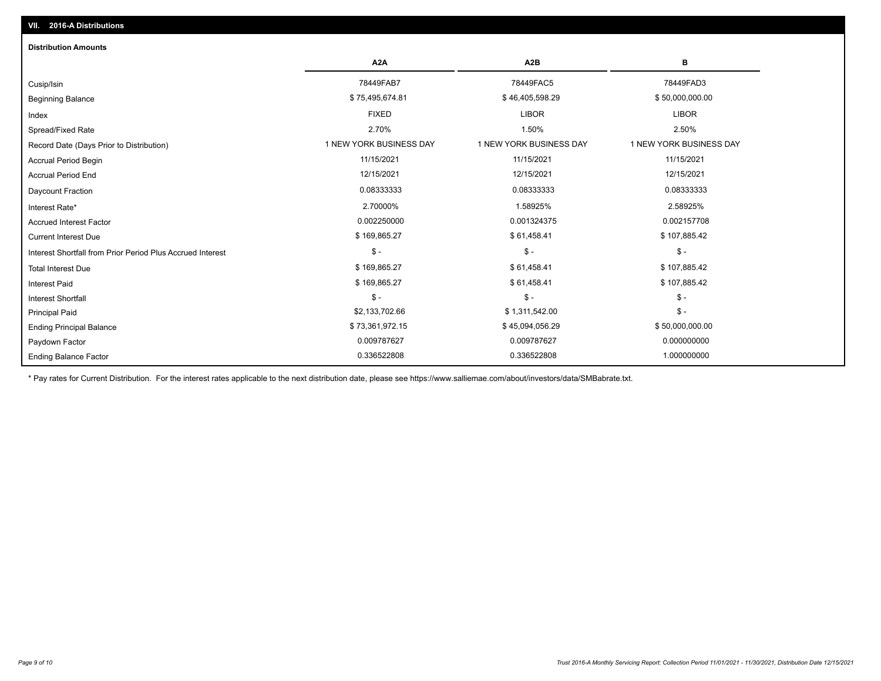| <b>Distribution Amounts</b>                                |                         |                         |                         |
|------------------------------------------------------------|-------------------------|-------------------------|-------------------------|
|                                                            | A <sub>2</sub> A        | A2B                     | в                       |
| Cusip/Isin                                                 | 78449FAB7               | 78449FAC5               | 78449FAD3               |
| <b>Beginning Balance</b>                                   | \$75,495,674.81         | \$46,405,598.29         | \$50,000,000.00         |
| Index                                                      | <b>FIXED</b>            | <b>LIBOR</b>            | <b>LIBOR</b>            |
| Spread/Fixed Rate                                          | 2.70%                   | 1.50%                   | 2.50%                   |
| Record Date (Days Prior to Distribution)                   | 1 NEW YORK BUSINESS DAY | 1 NEW YORK BUSINESS DAY | 1 NEW YORK BUSINESS DAY |
| <b>Accrual Period Begin</b>                                | 11/15/2021              | 11/15/2021              | 11/15/2021              |
| <b>Accrual Period End</b>                                  | 12/15/2021              | 12/15/2021              | 12/15/2021              |
| Daycount Fraction                                          | 0.08333333              | 0.08333333              | 0.08333333              |
| Interest Rate*                                             | 2.70000%                | 1.58925%                | 2.58925%                |
| <b>Accrued Interest Factor</b>                             | 0.002250000             | 0.001324375             | 0.002157708             |
| <b>Current Interest Due</b>                                | \$169,865.27            | \$61,458.41             | \$107,885.42            |
| Interest Shortfall from Prior Period Plus Accrued Interest | $\mathsf{\$}$ -         | $\mathsf{\$}$ -         | $$ -$                   |
| <b>Total Interest Due</b>                                  | \$169,865.27            | \$61,458.41             | \$107,885.42            |
| <b>Interest Paid</b>                                       | \$169,865.27            | \$61,458.41             | \$107,885.42            |
| <b>Interest Shortfall</b>                                  | $\mathsf{\$}$ -         | $\mathsf{\$}$ -         | $$ -$                   |
| <b>Principal Paid</b>                                      | \$2,133,702.66          | \$1,311,542.00          | $$ -$                   |
| <b>Ending Principal Balance</b>                            | \$73,361,972.15         | \$45,094,056.29         | \$50,000,000.00         |
| Paydown Factor                                             | 0.009787627             | 0.009787627             | 0.000000000             |
| <b>Ending Balance Factor</b>                               | 0.336522808             | 0.336522808             | 1.000000000             |

\* Pay rates for Current Distribution. For the interest rates applicable to the next distribution date, please see https://www.salliemae.com/about/investors/data/SMBabrate.txt.

**VII. 2016-A Distributions**